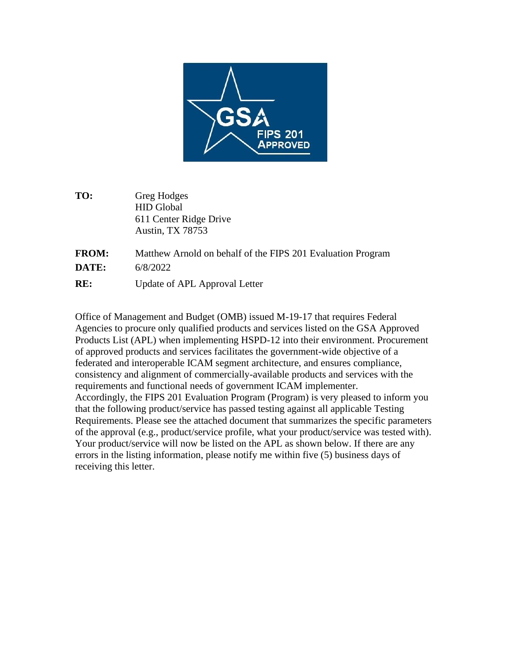

**TO:** Greg Hodges HID Global 611 Center Ridge Drive Austin, TX 78753

| <b>FROM:</b> | Matthew Arnold on behalf of the FIPS 201 Evaluation Program |
|--------------|-------------------------------------------------------------|
| <b>DATE:</b> | 6/8/2022                                                    |
| RE:          | Update of APL Approval Letter                               |

Office of Management and Budget (OMB) issued M-19-17 that requires Federal Agencies to procure only qualified products and services listed on the GSA Approved Products List (APL) when implementing HSPD-12 into their environment. Procurement of approved products and services facilitates the government-wide objective of a federated and interoperable ICAM segment architecture, and ensures compliance, consistency and alignment of commercially-available products and services with the requirements and functional needs of government ICAM implementer. Accordingly, the FIPS 201 Evaluation Program (Program) is very pleased to inform you that the following product/service has passed testing against all applicable Testing Requirements. Please see the attached document that summarizes the specific parameters of the approval (e.g., product/service profile, what your product/service was tested with). Your product/service will now be listed on the APL as shown below. If there are any errors in the listing information, please notify me within five (5) business days of receiving this letter.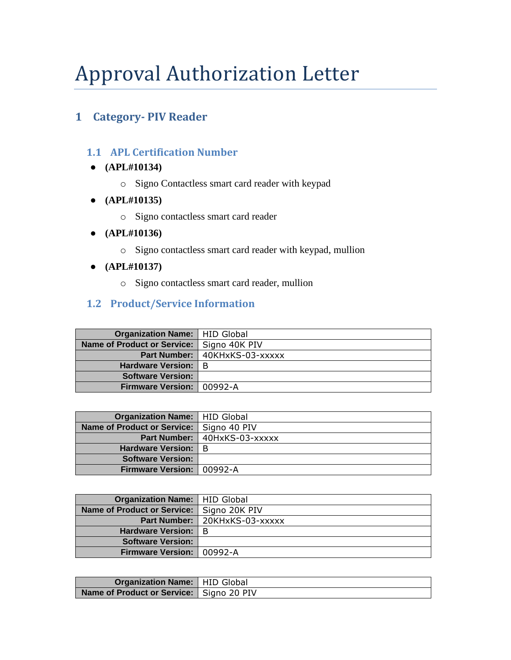# Approval Authorization Letter

## **1 Category- PIV Reader**

## **1.1 APL Certification Number**

- **(APL#10134)**
	- o Signo Contactless smart card reader with keypad
- **(APL#10135)**
	- o Signo contactless smart card reader
- **(APL#10136)**
	- o Signo contactless smart card reader with keypad, mullion
- **(APL#10137)**
	- o Signo contactless smart card reader, mullion

## **1.2 Product/Service Information**

| <b>Organization Name:   HID Global</b>      |                                 |
|---------------------------------------------|---------------------------------|
| Name of Product or Service:   Signo 40K PIV |                                 |
|                                             | Part Number:   40KHxKS-03-xxxxx |
| <b>Hardware Version:   B</b>                |                                 |
| <b>Software Version:</b>                    |                                 |
| Firmware Version: 00992-A                   |                                 |

| <b>Organization Name:   HID Global</b> |                                |
|----------------------------------------|--------------------------------|
| Name of Product or Service:            | Signo 40 PIV                   |
|                                        | Part Number:   40HxKS-03-xxxxx |
| Hardware Version:   B                  |                                |
| <b>Software Version:</b>               |                                |
| Firmware Version: 00992-A              |                                |

| <b>Organization Name:   HID Global</b>      |                                 |
|---------------------------------------------|---------------------------------|
| Name of Product or Service:   Signo 20K PIV |                                 |
|                                             | Part Number:   20KHxKS-03-xxxxx |
| Hardware Version:   B                       |                                 |
| <b>Software Version:</b>                    |                                 |
| Firmware Version: 00992-A                   |                                 |

| <b>Organization Name:</b>   HID Global     |  |
|--------------------------------------------|--|
| Name of Product or Service:   Signo 20 PIV |  |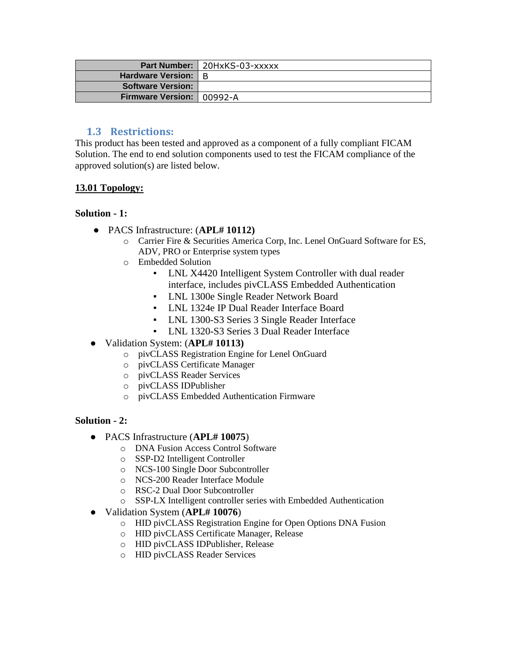|                             | <b>Part Number:   20HxKS-03-xxxxx</b> |
|-----------------------------|---------------------------------------|
| Hardware Version:   B       |                                       |
| <b>Software Version:</b>    |                                       |
| Firmware Version:   00992-A |                                       |

## **1.3 Restrictions:**

This product has been tested and approved as a component of a fully compliant FICAM Solution. The end to end solution components used to test the FICAM compliance of the approved solution(s) are listed below.

#### **13.01 Topology:**

#### **Solution - 1:**

- PACS Infrastructure: (**APL# 10112)**
	- o Carrier Fire & Securities America Corp, Inc. Lenel OnGuard Software for ES, ADV, PRO or Enterprise system types
	- o Embedded Solution
		- LNL X4420 Intelligent System Controller with dual reader interface, includes pivCLASS Embedded Authentication
		- LNL 1300e Single Reader Network Board
		- LNL 1324e IP Dual Reader Interface Board
		- LNL 1300-S3 Series 3 Single Reader Interface
		- LNL 1320-S3 Series 3 Dual Reader Interface
- Validation System: (**APL# 10113)**
	- o pivCLASS Registration Engine for Lenel OnGuard
	- o pivCLASS Certificate Manager
	- o pivCLASS Reader Services
	- o pivCLASS IDPublisher
	- o pivCLASS Embedded Authentication Firmware

#### **Solution - 2:**

- PACS Infrastructure (**APL# 10075**)
	- o DNA Fusion Access Control Software
	- o SSP-D2 Intelligent Controller
	- o NCS-100 Single Door Subcontroller
	- o NCS-200 Reader Interface Module
	- o RSC-2 Dual Door Subcontroller
	- o SSP-LX Intelligent controller series with Embedded Authentication
- Validation System (**APL# 10076**)
	- o HID pivCLASS Registration Engine for Open Options DNA Fusion
	- o HID pivCLASS Certificate Manager, Release
	- o HID pivCLASS IDPublisher, Release
	- o HID pivCLASS Reader Services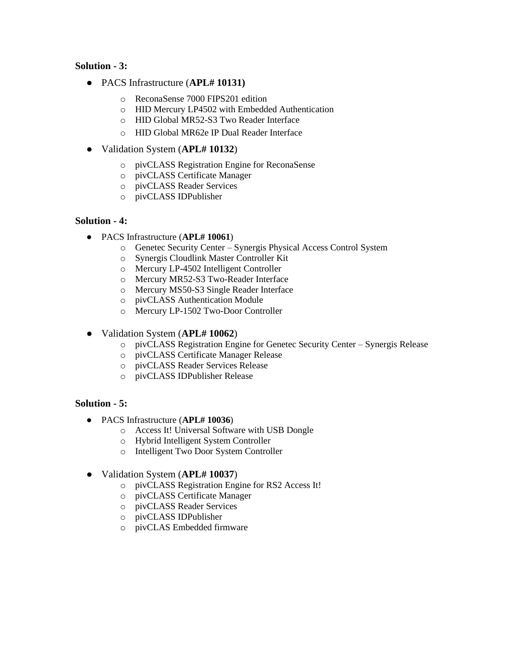#### **Solution - 3:**

- PACS Infrastructure (**APL# 10131)**
	- o ReconaSense 7000 FIPS201 edition
	- o HID Mercury LP4502 with Embedded Authentication
	- o HID Global MR52-S3 Two Reader Interface
	- o HID Global MR62e IP Dual Reader Interface
- Validation System (**APL# 10132**)
	- o pivCLASS Registration Engine for ReconaSense
	- o pivCLASS Certificate Manager
	- o pivCLASS Reader Services
	- o pivCLASS IDPublisher

#### **Solution - 4:**

- PACS Infrastructure (**APL# 10061**)
	- o Genetec Security Center Synergis Physical Access Control System
	- o Synergis Cloudlink Master Controller Kit
	- o Mercury LP-4502 Intelligent Controller
	- o Mercury MR52-S3 Two-Reader Interface
	- o Mercury MS50-S3 Single Reader Interface
	- o pivCLASS Authentication Module
	- o Mercury LP-1502 Two-Door Controller
- Validation System (**APL# 10062**)
	- o pivCLASS Registration Engine for Genetec Security Center Synergis Release
	- o pivCLASS Certificate Manager Release
	- o pivCLASS Reader Services Release
	- o pivCLASS IDPublisher Release

#### **Solution - 5:**

- PACS Infrastructure (**APL# 10036**)
	- o Access It! Universal Software with USB Dongle
	- o Hybrid Intelligent System Controller
	- o Intelligent Two Door System Controller
- Validation System (**APL# 10037**)
	- o pivCLASS Registration Engine for RS2 Access It!
	- o pivCLASS Certificate Manager
	- o pivCLASS Reader Services
	- o pivCLASS IDPublisher
	- o pivCLAS Embedded firmware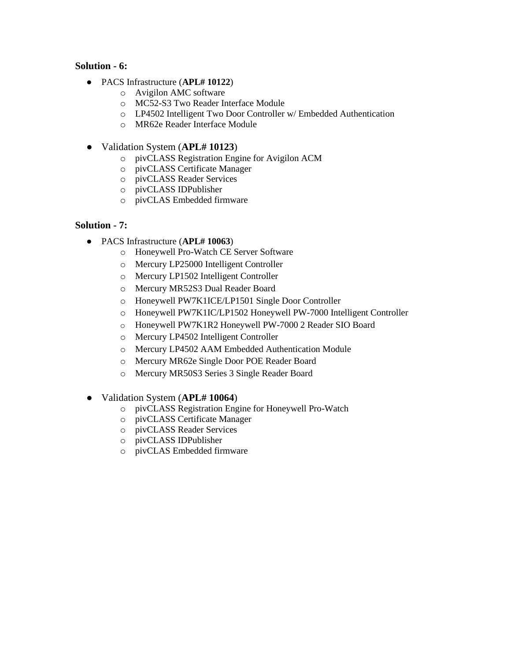#### **Solution - 6:**

- PACS Infrastructure (**APL# 10122**)
	- o Avigilon AMC software
	- o MC52-S3 Two Reader Interface Module
	- o LP4502 Intelligent Two Door Controller w/ Embedded Authentication
	- o MR62e Reader Interface Module
- Validation System (**APL# 10123**)
	- o pivCLASS Registration Engine for Avigilon ACM
	- o pivCLASS Certificate Manager
	- o pivCLASS Reader Services
	- o pivCLASS IDPublisher
	- o pivCLAS Embedded firmware

#### **Solution - 7:**

- PACS Infrastructure (**APL# 10063**)
	- o Honeywell Pro-Watch CE Server Software
	- o Mercury LP25000 Intelligent Controller
	- o Mercury LP1502 Intelligent Controller
	- o Mercury MR52S3 Dual Reader Board
	- o Honeywell PW7K1ICE/LP1501 Single Door Controller
	- o Honeywell PW7K1IC/LP1502 Honeywell PW-7000 Intelligent Controller
	- o Honeywell PW7K1R2 Honeywell PW-7000 2 Reader SIO Board
	- o Mercury LP4502 Intelligent Controller
	- o Mercury LP4502 AAM Embedded Authentication Module
	- o Mercury MR62e Single Door POE Reader Board
	- o Mercury MR50S3 Series 3 Single Reader Board
- Validation System (**APL# 10064**)
	- o pivCLASS Registration Engine for Honeywell Pro-Watch
	- o pivCLASS Certificate Manager
	- o pivCLASS Reader Services
	- o pivCLASS IDPublisher
	- o pivCLAS Embedded firmware